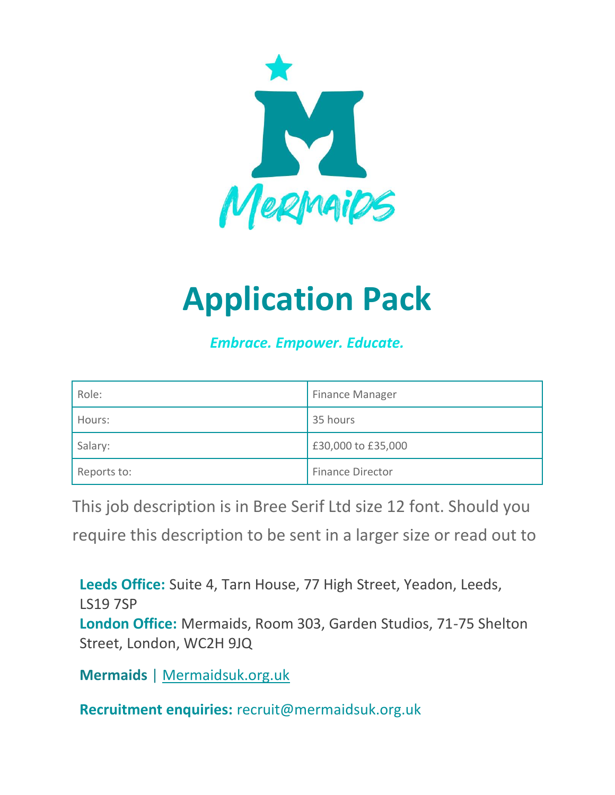

# **Application Pack**

*Embrace. Empower. Educate.*

| Role:       | <b>Finance Manager</b>  |
|-------------|-------------------------|
| Hours:      | 35 hours                |
| Salary:     | £30,000 to £35,000      |
| Reports to: | <b>Finance Director</b> |

This job description is in Bree Serif Ltd size 12 font. Should you

require this description to be sent in a larger size or read out to

**Leeds Office:** Suite 4, Tarn House, 77 High Street, Yeadon, Leeds, LS19 7SP **London Office:** Mermaids, Room 303, Garden Studios, 71-75 Shelton Street, London, WC2H 9JQ

**Mermaids** | Mermaidsuk.org.uk

**Recruitment enquiries:** recruit@mermaidsuk.org.uk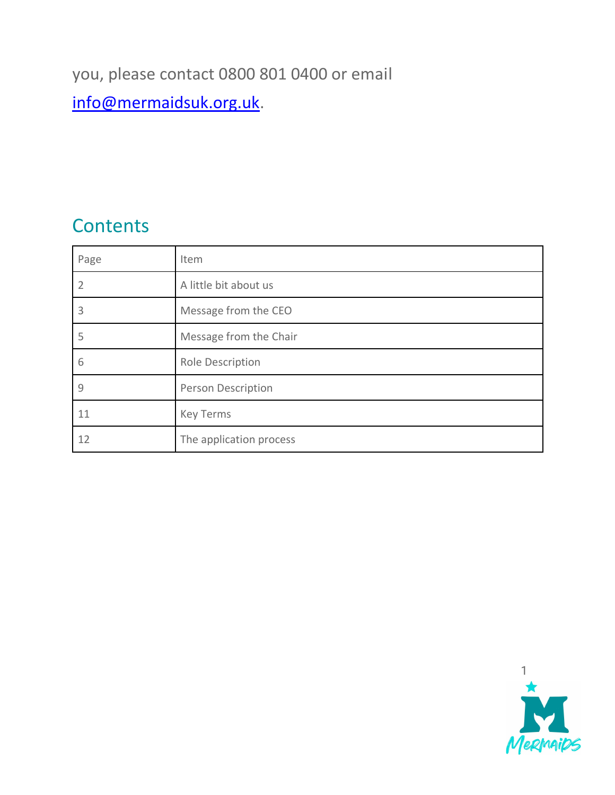### you, please contact 0800 801 0400 or email

### [info@mermaidsuk.org.uk.](mailto:info@mermaidsuk.org.uk)

### **Contents**

| Page           | Item                      |
|----------------|---------------------------|
| $\overline{2}$ | A little bit about us     |
| 3              | Message from the CEO      |
| 5              | Message from the Chair    |
| 6              | Role Description          |
| 9              | <b>Person Description</b> |
| 11             | <b>Key Terms</b>          |
| 12             | The application process   |

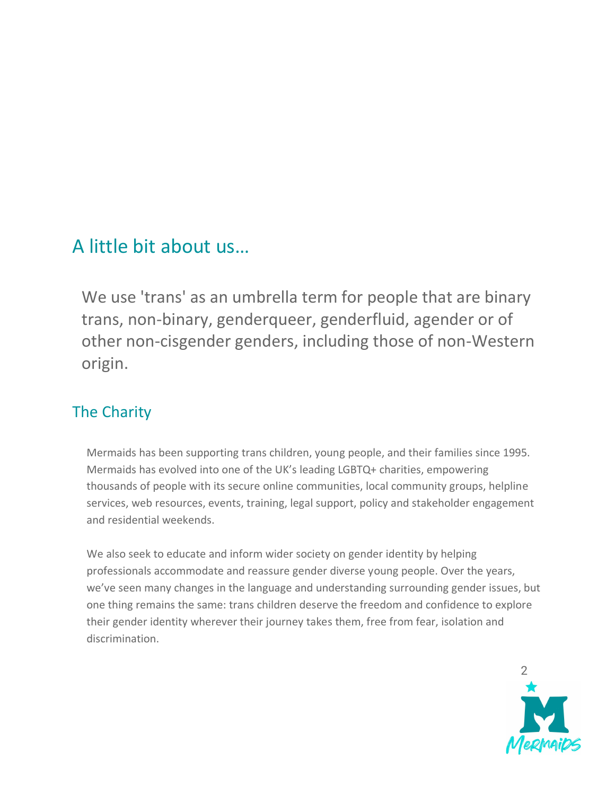### A little bit about us…

We use 'trans' as an umbrella term for people that are binary trans, non-binary, genderqueer, genderfluid, agender or of other non-cisgender genders, including those of non-Western origin.

### The Charity

Mermaids has been supporting trans children, young people, and their families since 1995. Mermaids has evolved into one of the UK's leading LGBTQ+ charities, empowering thousands of people with its secure online communities, local community groups, helpline services, web resources, events, training, legal support, policy and stakeholder engagement and residential weekends.

We also seek to educate and inform wider society on gender identity by helping professionals accommodate and reassure gender diverse young people. Over the years, we've seen many changes in the language and understanding surrounding gender issues, but one thing remains the same: trans children deserve the freedom and confidence to explore their gender identity wherever their journey takes them, free from fear, isolation and discrimination.

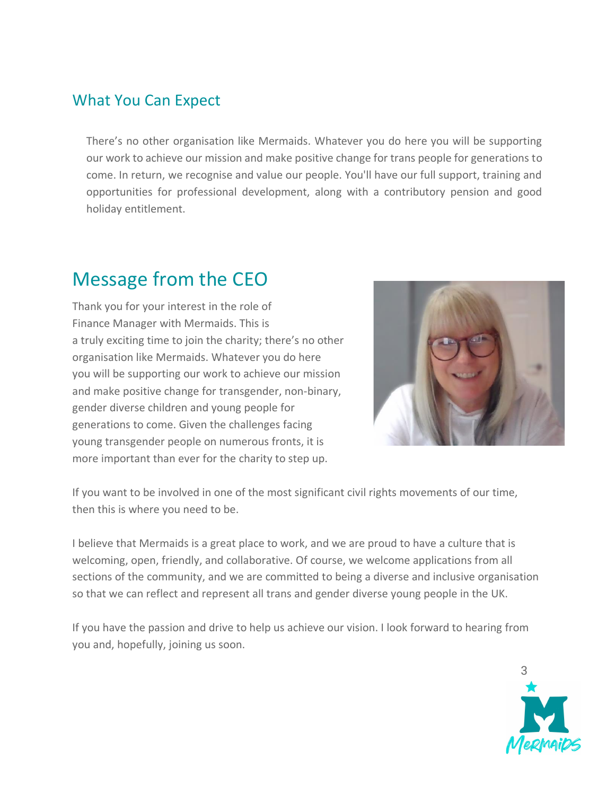### What You Can Expect

There's no other organisation like Mermaids. Whatever you do here you will be supporting our work to achieve our mission and make positive change for trans people for generations to come. In return, we recognise and value our people. You'll have our full support, training and opportunities for professional development, along with a contributory pension and good holiday entitlement.

### Message from the CEO

Thank you for your interest in the role of Finance Manager with Mermaids. This is a truly exciting time to join the charity; there's no other organisation like Mermaids. Whatever you do here you will be supporting our work to achieve our mission and make positive change for transgender, non-binary, gender diverse children and young people for generations to come. Given the challenges facing young transgender people on numerous fronts, it is more important than ever for the charity to step up.



If you want to be involved in one of the most significant civil rights movements of our time, then this is where you need to be.

I believe that Mermaids is a great place to work, and we are proud to have a culture that is welcoming, open, friendly, and collaborative. Of course, we welcome applications from all sections of the community, and we are committed to being a diverse and inclusive organisation so that we can reflect and represent all trans and gender diverse young people in the UK.

If you have the passion and drive to help us achieve our vision. I look forward to hearing from you and, hopefully, joining us soon.

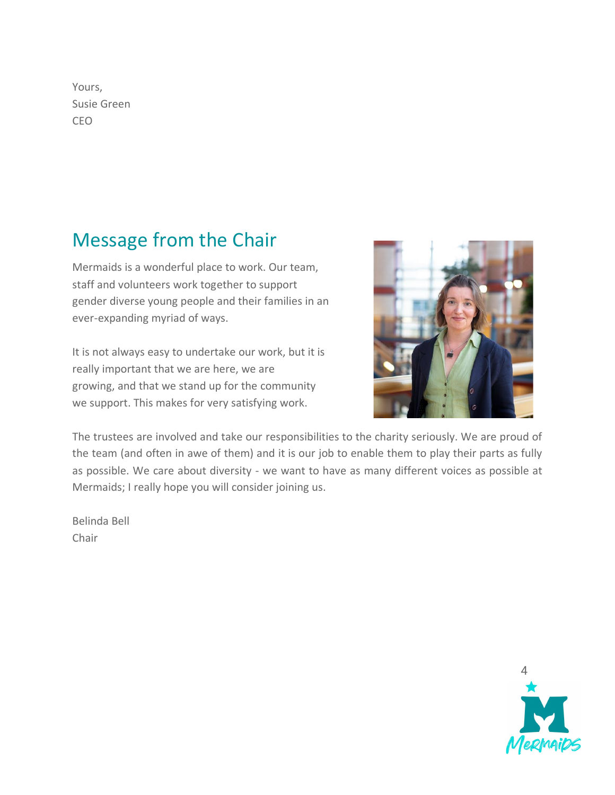Yours, Susie Green CEO

### Message from the Chair

Mermaids is a wonderful place to work. Our team, staff and volunteers work together to support gender diverse young people and their families in an ever-expanding myriad of ways.

It is not always easy to undertake our work, but it is really important that we are here, we are growing, and that we stand up for the community we support. This makes for very satisfying work.



The trustees are involved and take our responsibilities to the charity seriously. We are proud of the team (and often in awe of them) and it is our job to enable them to play their parts as fully as possible. We care about diversity - we want to have as many different voices as possible at Mermaids; I really hope you will consider joining us.

Belinda Bell Chair

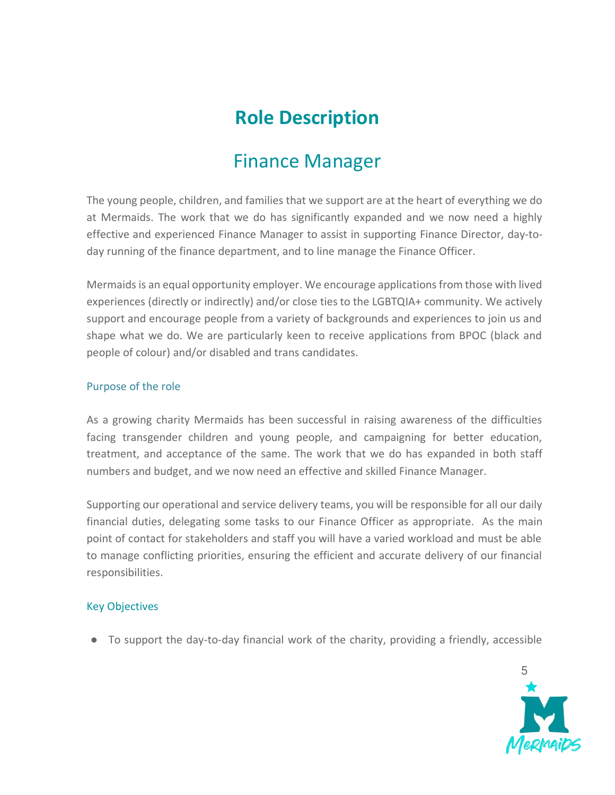### **Role Description**

### Finance Manager

The young people, children, and families that we support are at the heart of everything we do at Mermaids. The work that we do has significantly expanded and we now need a highly effective and experienced Finance Manager to assist in supporting Finance Director, day-today running of the finance department, and to line manage the Finance Officer.

Mermaids is an equal opportunity employer. We encourage applications from those with lived experiences (directly or indirectly) and/or close ties to the LGBTQIA+ community. We actively support and encourage people from a variety of backgrounds and experiences to join us and shape what we do. We are particularly keen to receive applications from BPOC (black and people of colour) and/or disabled and trans candidates.

#### Purpose of the role

As a growing charity Mermaids has been successful in raising awareness of the difficulties facing transgender children and young people, and campaigning for better education, treatment, and acceptance of the same. The work that we do has expanded in both staff numbers and budget, and we now need an effective and skilled Finance Manager.

Supporting our operational and service delivery teams, you will be responsible for all our daily financial duties, delegating some tasks to our Finance Officer as appropriate. As the main point of contact for stakeholders and staff you will have a varied workload and must be able to manage conflicting priorities, ensuring the efficient and accurate delivery of our financial responsibilities.

#### Key Objectives

● To support the day-to-day financial work of the charity, providing a friendly, accessible

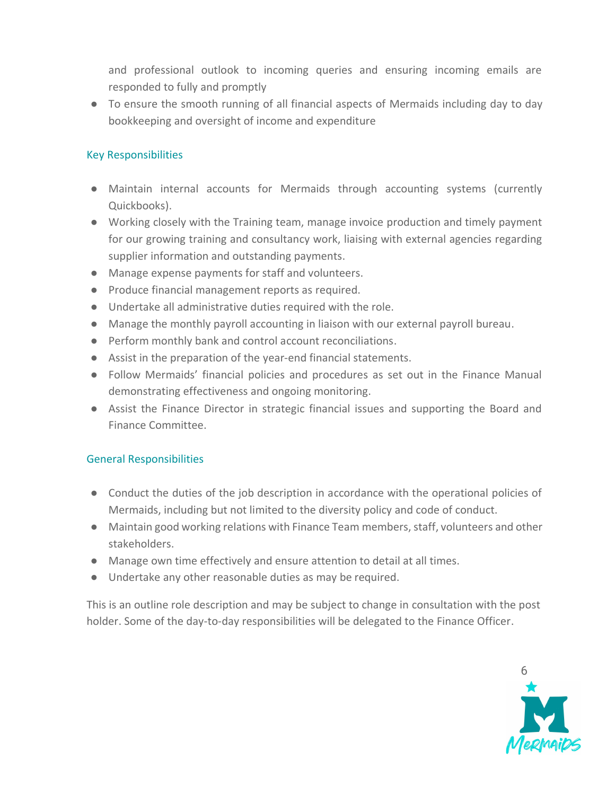and professional outlook to incoming queries and ensuring incoming emails are responded to fully and promptly

● To ensure the smooth running of all financial aspects of Mermaids including day to day bookkeeping and oversight of income and expenditure

#### Key Responsibilities

- Maintain internal accounts for Mermaids through accounting systems (currently Quickbooks).
- Working closely with the Training team, manage invoice production and timely payment for our growing training and consultancy work, liaising with external agencies regarding supplier information and outstanding payments.
- Manage expense payments for staff and volunteers.
- Produce financial management reports as required.
- Undertake all administrative duties required with the role.
- Manage the monthly payroll accounting in liaison with our external payroll bureau.
- Perform monthly bank and control account reconciliations.
- Assist in the preparation of the year-end financial statements.
- Follow Mermaids' financial policies and procedures as set out in the Finance Manual demonstrating effectiveness and ongoing monitoring.
- Assist the Finance Director in strategic financial issues and supporting the Board and Finance Committee.

#### General Responsibilities

- Conduct the duties of the job description in accordance with the operational policies of Mermaids, including but not limited to the diversity policy and code of conduct.
- Maintain good working relations with Finance Team members, staff, volunteers and other stakeholders.
- Manage own time effectively and ensure attention to detail at all times.
- Undertake any other reasonable duties as may be required.

This is an outline role description and may be subject to change in consultation with the post holder. Some of the day-to-day responsibilities will be delegated to the Finance Officer.

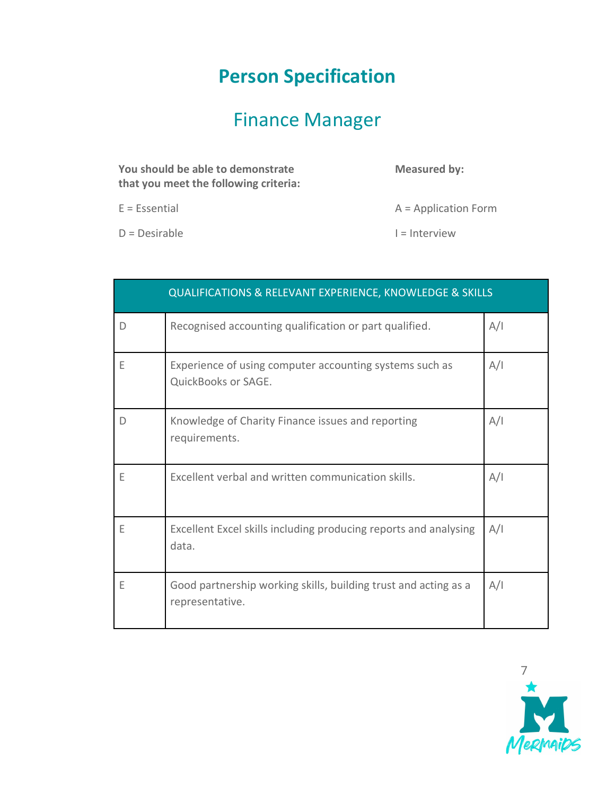## **Person Specification**

# Finance Manager

| You should be able to demonstrate<br>that you meet the following criteria: | <b>Measured by:</b>    |
|----------------------------------------------------------------------------|------------------------|
| $E = E$ ssential                                                           | $A = Application Form$ |

 $D = Desirable$   $I = Interview$ 

|   | <b>QUALIFICATIONS &amp; RELEVANT EXPERIENCE, KNOWLEDGE &amp; SKILLS</b>            |     |
|---|------------------------------------------------------------------------------------|-----|
| D | Recognised accounting qualification or part qualified.                             | A/I |
| Ε | Experience of using computer accounting systems such as<br>QuickBooks or SAGE.     | A/I |
| D | Knowledge of Charity Finance issues and reporting<br>requirements.                 | A/I |
| Ε | Excellent verbal and written communication skills.                                 | A/I |
| Ε | Excellent Excel skills including producing reports and analysing<br>data.          | A/I |
| Ε | Good partnership working skills, building trust and acting as a<br>representative. | A/I |

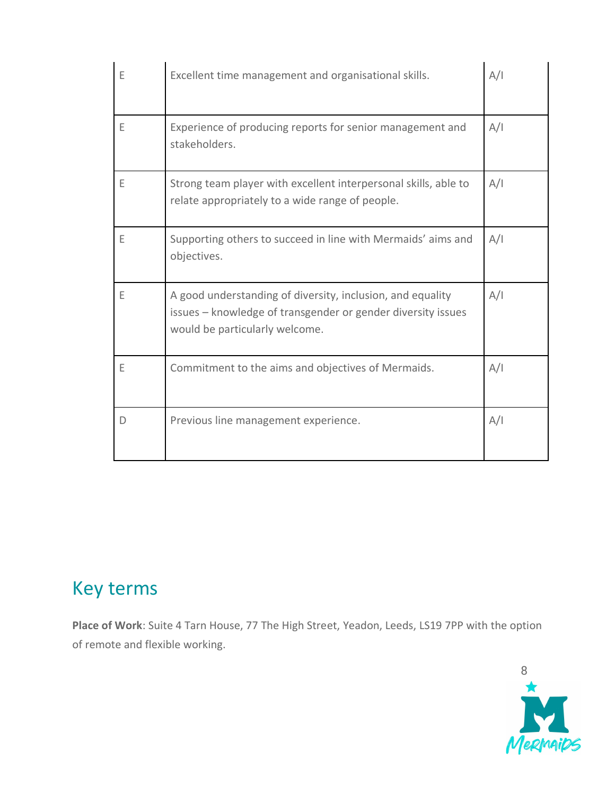| E | Excellent time management and organisational skills.                                                                                                         | A/I |
|---|--------------------------------------------------------------------------------------------------------------------------------------------------------------|-----|
| E | Experience of producing reports for senior management and<br>stakeholders.                                                                                   | A/I |
| E | Strong team player with excellent interpersonal skills, able to<br>relate appropriately to a wide range of people.                                           | A/I |
| E | Supporting others to succeed in line with Mermaids' aims and<br>objectives.                                                                                  | A/I |
| E | A good understanding of diversity, inclusion, and equality<br>issues - knowledge of transgender or gender diversity issues<br>would be particularly welcome. | A/I |
| Ε | Commitment to the aims and objectives of Mermaids.                                                                                                           | A/I |
| D | Previous line management experience.                                                                                                                         | A/I |

### Key terms

**Place of Work**: Suite 4 Tarn House, 77 The High Street, Yeadon, Leeds, LS19 7PP with the option of remote and flexible working.

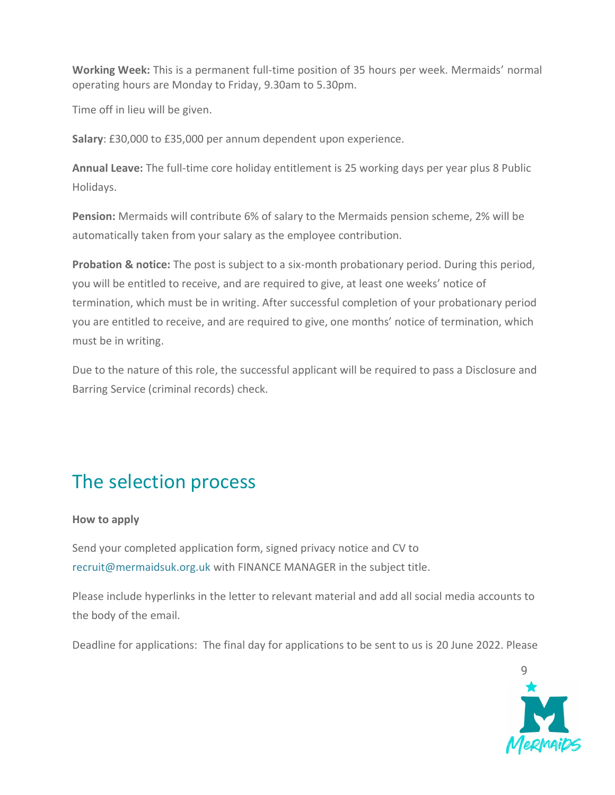**Working Week:** This is a permanent full-time position of 35 hours per week. Mermaids' normal operating hours are Monday to Friday, 9.30am to 5.30pm.

Time off in lieu will be given.

**Salary**: £30,000 to £35,000 per annum dependent upon experience.

**Annual Leave:** The full-time core holiday entitlement is 25 working days per year plus 8 Public Holidays.

**Pension:** Mermaids will contribute 6% of salary to the Mermaids pension scheme, 2% will be automatically taken from your salary as the employee contribution.

**Probation & notice:** The post is subject to a six-month probationary period. During this period, you will be entitled to receive, and are required to give, at least one weeks' notice of termination, which must be in writing. After successful completion of your probationary period you are entitled to receive, and are required to give, one months' notice of termination, which must be in writing.

Due to the nature of this role, the successful applicant will be required to pass a Disclosure and Barring Service (criminal records) check.

### The selection process

#### **How to apply**

Send your completed application form, signed privacy notice and CV to recruit@mermaidsuk.org.uk with FINANCE MANAGER in the subject title.

Please include hyperlinks in the letter to relevant material and add all social media accounts to the body of the email.

Deadline for applications: The final day for applications to be sent to us is 20 June 2022. Please